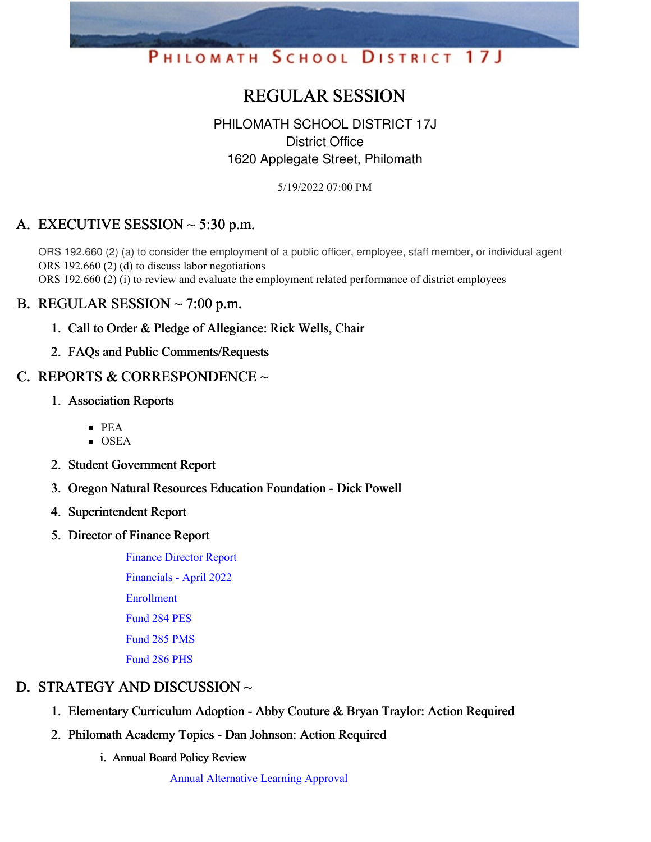

# REGULAR SESSION

# PHILOMATH SCHOOL DISTRICT 17J District Office 1620 Applegate Street, Philomath

5/19/2022 07:00 PM

# A. EXECUTIVE SESSION  $\sim$  5:30 p.m.

ORS 192.660 (2) (a) to consider the employment of a public officer, employee, staff member, or individual agent ORS 192.660 (2) (d) to discuss labor negotiations ORS 192.660 (2) (i) to review and evaluate the employment related performance of district employees

### B. REGULAR SESSION  $\sim$  7:00 p.m.

- 1. Call to Order & Pledge of Allegiance: Rick Wells, Chair
- 2. FAQs and Public Comments/Requests

### C. REPORTS & CORRESPONDENCE  $\sim$

- 1. Association Reports
	- $\blacksquare$  PEA
	- $\blacksquare$  OSEA
- 2. Student Government Report
- 3. Oregon Natural Resources Education Foundation Dick Powell
- 4. Superintendent Report
- 5. Director of Finance Report
	- Finance [Director](https://app.eduportal.com/documents/view/832578) Report [Financials](https://app.eduportal.com/documents/view/832579) - April 2022 [Enrollment](https://app.eduportal.com/documents/view/832560) [Fund](https://app.eduportal.com/documents/view/832576) 284 PES [Fund](https://app.eduportal.com/documents/view/832575) 285 PMS [Fund](https://app.eduportal.com/documents/view/832580) 286 PHS

# D. STRATEGY AND DISCUSSION ~

- 1. Elementary Curriculum Adoption Abby Couture & Bryan Traylor: Action Required
- 2. Philomath Academy Topics Dan Johnson: Action Required
	- i. Annual Board Policy Review

Annual [Alternative](https://app.eduportal.com/documents/view/832562) Learning Approval